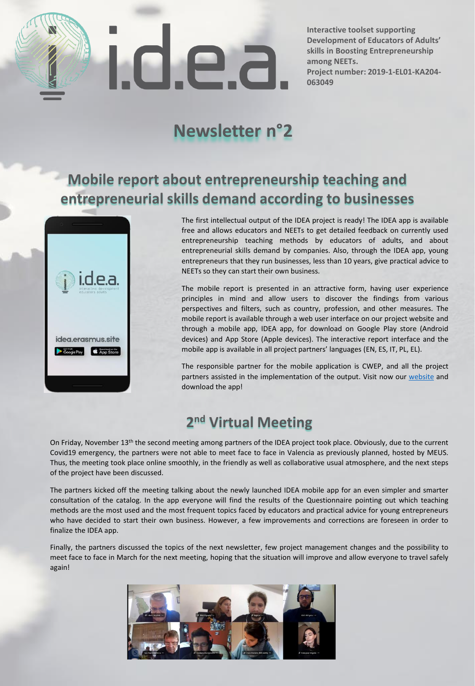

**Interactive toolset supporting Development of Educators of Adults' skills in Boosting Entrepreneurship among NEETs. Project number: 2019-1-EL01-KA204- 063049**

# **Newsletter n°2**

# **Mobile report about entrepreneurship teaching and entrepreneurial skills demand according to businesses**



The first intellectual output of the IDEA project is ready! The IDEA app is available free and allows educators and NEETs to get detailed feedback on currently used entrepreneurship teaching methods by educators of adults, and about entrepreneurial skills demand by companies. Also, through the IDEA app, young entrepreneurs that they run businesses, less than 10 years, give practical advice to NEETs so they can start their own business.

The mobile report is presented in an attractive form, having user experience principles in mind and allow users to discover the findings from various perspectives and filters, such as country, profession, and other measures. The mobile report is available through a web user interface on our project website and through a mobile app, IDEA app, for download on Google Play store (Android devices) and App Store (Apple devices). The interactive report interface and the mobile app is available in all project partners' languages (EN, ES, IT, PL, EL).

The responsible partner for the mobile application is CWEP, and all the project partners assisted in the implementation of the output. Visit now our [website](https://idea.erasmus.site/questionnaire/) and download the app!

### **2 nd Virtual Meeting**

On Friday, November 13<sup>th</sup> the second meeting among partners of the IDEA project took place. Obviously, due to the current Covid19 emergency, the partners were not able to meet face to face in Valencia as previously planned, hosted by MEUS. Thus, the meeting took place online smoothly, in the friendly as well as collaborative usual atmosphere, and the next steps of the project have been discussed.

The partners kicked off the meeting talking about the newly launched IDEA mobile app for an even simpler and smarter consultation of the catalog. In the app everyone will find the results of the Questionnaire pointing out which teaching methods are the most used and the most frequent topics faced by educators and practical advice for young entrepreneurs who have decided to start their own business. However, a few improvements and corrections are foreseen in order to finalize the IDEA app.

Finally, the partners discussed the topics of the next newsletter, few project management changes and the possibility to meet face to face in March for the next meeting, hoping that the situation will improve and allow everyone to travel safely again!